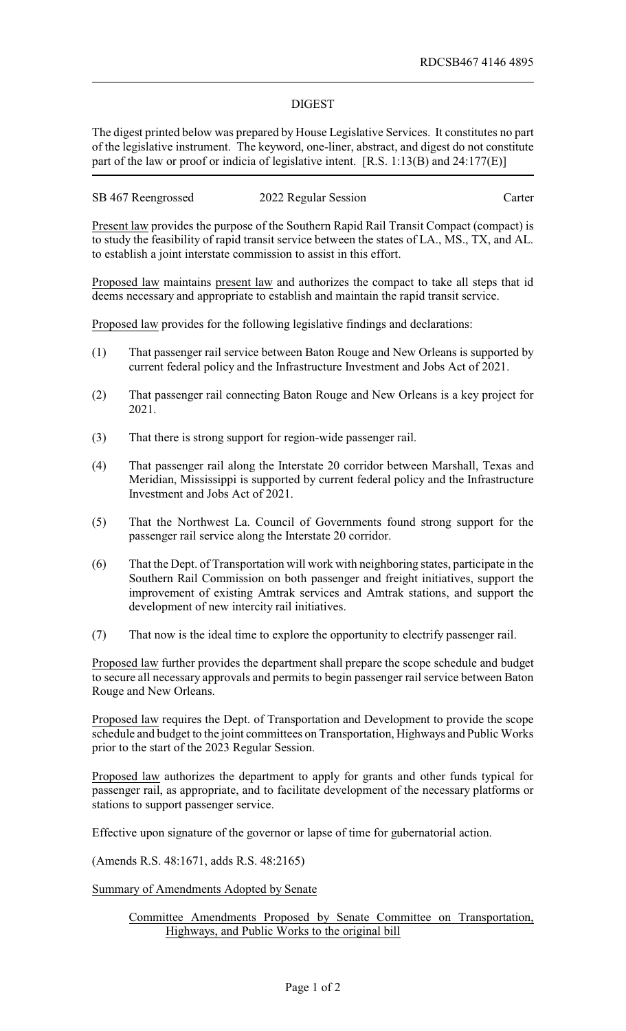## DIGEST

The digest printed below was prepared by House Legislative Services. It constitutes no part of the legislative instrument. The keyword, one-liner, abstract, and digest do not constitute part of the law or proof or indicia of legislative intent. [R.S. 1:13(B) and 24:177(E)]

| SB 467 Reengrossed | 2022 Regular Session | Carter |
|--------------------|----------------------|--------|
|--------------------|----------------------|--------|

Present law provides the purpose of the Southern Rapid Rail Transit Compact (compact) is to study the feasibility of rapid transit service between the states of LA., MS., TX, and AL. to establish a joint interstate commission to assist in this effort.

Proposed law maintains present law and authorizes the compact to take all steps that id deems necessary and appropriate to establish and maintain the rapid transit service.

Proposed law provides for the following legislative findings and declarations:

- (1) That passenger rail service between Baton Rouge and New Orleans is supported by current federal policy and the Infrastructure Investment and Jobs Act of 2021.
- (2) That passenger rail connecting Baton Rouge and New Orleans is a key project for 2021.
- (3) That there is strong support for region-wide passenger rail.
- (4) That passenger rail along the Interstate 20 corridor between Marshall, Texas and Meridian, Mississippi is supported by current federal policy and the Infrastructure Investment and Jobs Act of 2021.
- (5) That the Northwest La. Council of Governments found strong support for the passenger rail service along the Interstate 20 corridor.
- (6) That the Dept. of Transportation will work with neighboring states, participate in the Southern Rail Commission on both passenger and freight initiatives, support the improvement of existing Amtrak services and Amtrak stations, and support the development of new intercity rail initiatives.
- (7) That now is the ideal time to explore the opportunity to electrify passenger rail.

Proposed law further provides the department shall prepare the scope schedule and budget to secure all necessary approvals and permits to begin passenger rail service between Baton Rouge and New Orleans.

Proposed law requires the Dept. of Transportation and Development to provide the scope schedule and budget to the joint committees on Transportation, Highways and Public Works prior to the start of the 2023 Regular Session.

Proposed law authorizes the department to apply for grants and other funds typical for passenger rail, as appropriate, and to facilitate development of the necessary platforms or stations to support passenger service.

Effective upon signature of the governor or lapse of time for gubernatorial action.

(Amends R.S. 48:1671, adds R.S. 48:2165)

Summary of Amendments Adopted by Senate

Committee Amendments Proposed by Senate Committee on Transportation, Highways, and Public Works to the original bill